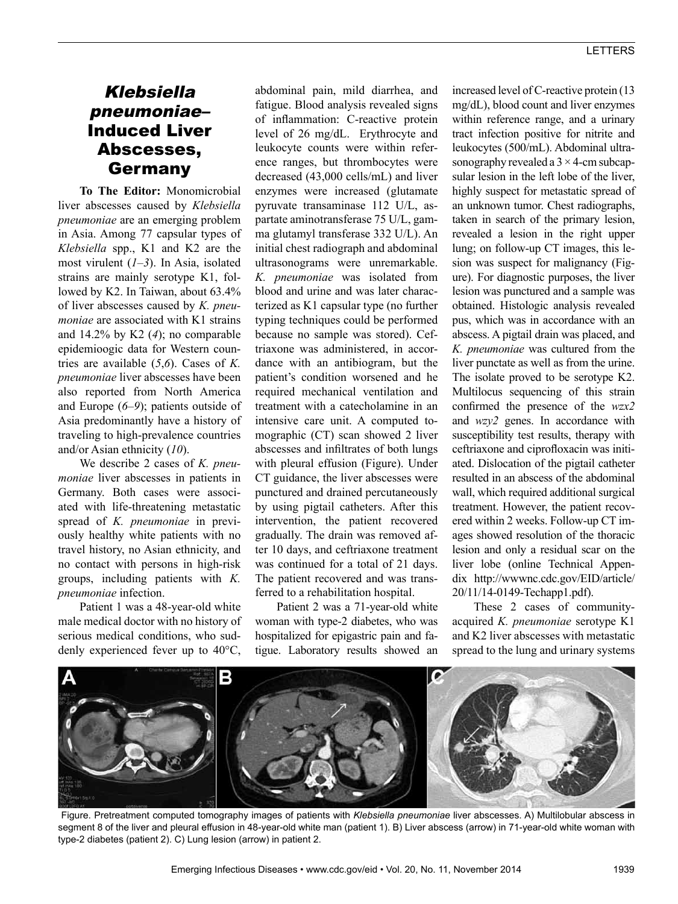## Klebsiella pneumoniae– Induced Liver Abscesses, Germany

**To The Editor:** Monomicrobial liver abscesses caused by *Klebsiella pneumoniae* are an emerging problem in Asia. Among 77 capsular types of *Klebsiella* spp., K1 and K2 are the most virulent (*1*–*3*). In Asia, isolated strains are mainly serotype K1, followed by K2. In Taiwan, about 63.4% of liver abscesses caused by *K. pneumoniae* are associated with K1 strains and 14.2% by K2 (*4*); no comparable epidemioogic data for Western countries are available (*5*,*6*). Cases of *K. pneumoniae* liver abscesses have been also reported from North America and Europe (*6*–*9*); patients outside of Asia predominantly have a history of traveling to high-prevalence countries and/or Asian ethnicity (*10*).

We describe 2 cases of *K. pneumoniae* liver abscesses in patients in Germany. Both cases were associated with life-threatening metastatic spread of *K. pneumoniae* in previously healthy white patients with no travel history, no Asian ethnicity, and no contact with persons in high-risk groups, including patients with *K. pneumoniae* infection.

Patient 1 was a 48-year-old white male medical doctor with no history of serious medical conditions, who suddenly experienced fever up to 40°C,

abdominal pain, mild diarrhea, and fatigue. Blood analysis revealed signs of inflammation: C-reactive protein level of 26 mg/dL. Erythrocyte and leukocyte counts were within reference ranges, but thrombocytes were decreased (43,000 cells/mL) and liver enzymes were increased (glutamate pyruvate transaminase 112 U/L, aspartate aminotransferase 75 U/L, gamma glutamyl transferase 332 U/L). An initial chest radiograph and abdominal ultrasonograms were unremarkable. *K. pneumoniae* was isolated from blood and urine and was later characterized as K1 capsular type (no further typing techniques could be performed because no sample was stored). Ceftriaxone was administered, in accordance with an antibiogram, but the patient's condition worsened and he required mechanical ventilation and treatment with a catecholamine in an intensive care unit. A computed tomographic (CT) scan showed 2 liver abscesses and infiltrates of both lungs with pleural effusion (Figure). Under CT guidance, the liver abscesses were punctured and drained percutaneously by using pigtail catheters. After this intervention, the patient recovered gradually. The drain was removed after 10 days, and ceftriaxone treatment was continued for a total of 21 days. The patient recovered and was transferred to a rehabilitation hospital.

Patient 2 was a 71-year-old white woman with type-2 diabetes, who was hospitalized for epigastric pain and fatigue. Laboratory results showed an

increased level of C-reactive protein (13 mg/dL), blood count and liver enzymes within reference range, and a urinary tract infection positive for nitrite and leukocytes (500/mL). Abdominal ultrasonography revealed a  $3 \times 4$ -cm subcapsular lesion in the left lobe of the liver, highly suspect for metastatic spread of an unknown tumor. Chest radiographs, taken in search of the primary lesion, revealed a lesion in the right upper lung; on follow-up CT images, this lesion was suspect for malignancy (Figure). For diagnostic purposes, the liver lesion was punctured and a sample was obtained. Histologic analysis revealed pus, which was in accordance with an abscess. A pigtail drain was placed, and *K. pneumoniae* was cultured from the liver punctate as well as from the urine. The isolate proved to be serotype K2. Multilocus sequencing of this strain confirmed the presence of the *wzx2*  and *wzy2* genes. In accordance with susceptibility test results, therapy with ceftriaxone and ciprofloxacin was initiated. Dislocation of the pigtail catheter resulted in an abscess of the abdominal wall, which required additional surgical treatment. However, the patient recovered within 2 weeks. Follow-up CT images showed resolution of the thoracic lesion and only a residual scar on the liver lobe (online Technical Appendix http://wwwnc.cdc.gov/EID/article/ 20/11/14-0149-Techapp1.pdf).

These 2 cases of communityacquired *K. pneumoniae* serotype K1 and K2 liver abscesses with metastatic spread to the lung and urinary systems



Figure. Pretreatment computed tomography images of patients with *Klebsiella pneumoniae* liver abscesses. A) Multilobular abscess in segment 8 of the liver and pleural effusion in 48-year-old white man (patient 1). B) Liver abscess (arrow) in 71-year-old white woman with type-2 diabetes (patient 2). C) Lung lesion (arrow) in patient 2.